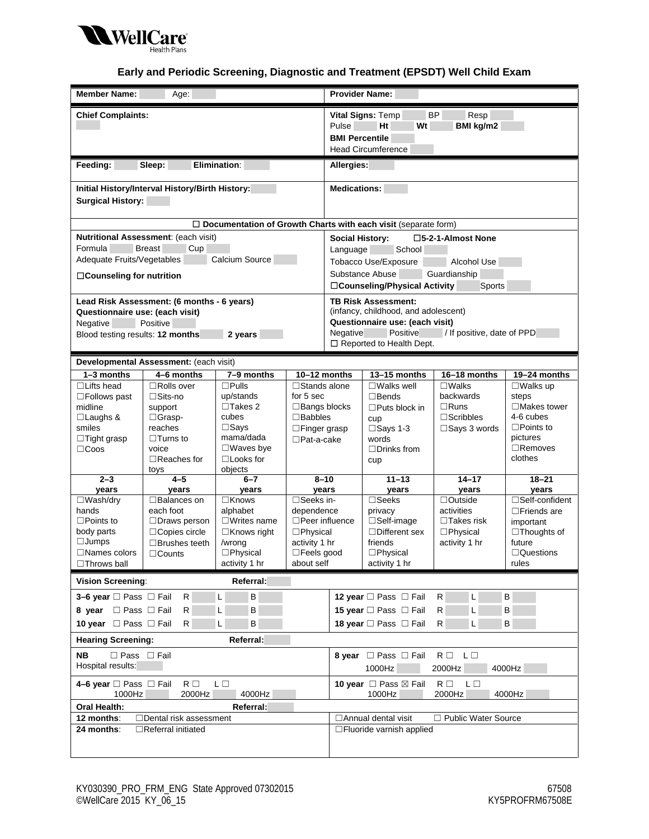

# **Early and Periodic Screening, Diagnostic and Treatment (EPSDT) Well Child Exam**

| <b>Member Name:</b>                                       | Age:                                                             |                                       | <b>Provider Name:</b>                                                                                                          |                                                                       |                                      |                            |                           |  |  |
|-----------------------------------------------------------|------------------------------------------------------------------|---------------------------------------|--------------------------------------------------------------------------------------------------------------------------------|-----------------------------------------------------------------------|--------------------------------------|----------------------------|---------------------------|--|--|
| <b>Chief Complaints:</b>                                  |                                                                  |                                       | <b>BP</b><br>Vital Signs: Temp<br>Resp<br>Pulse<br>Wt<br>Ht<br>BMI kg/m2<br><b>BMI Percentile</b><br><b>Head Circumference</b> |                                                                       |                                      |                            |                           |  |  |
| Feeding:                                                  | Sleep:                                                           | Elimination:                          | Allergies:                                                                                                                     |                                                                       |                                      |                            |                           |  |  |
| <b>Surgical History:</b>                                  | Initial History/Interval History/Birth History:                  |                                       | <b>Medications:</b>                                                                                                            |                                                                       |                                      |                            |                           |  |  |
|                                                           |                                                                  |                                       |                                                                                                                                | $\Box$ Documentation of Growth Charts with each visit (separate form) |                                      |                            |                           |  |  |
|                                                           | Nutritional Assessment: (each visit)                             |                                       | <b>Social History:</b>                                                                                                         |                                                                       | □5-2-1-Almost None                   |                            |                           |  |  |
| Formula                                                   | <b>Breast</b><br>Cup                                             |                                       |                                                                                                                                | Language                                                              | School                               |                            |                           |  |  |
| Adequate Fruits/Vegetables                                |                                                                  | Calcium Source                        |                                                                                                                                |                                                                       | Tobacco Use/Exposure                 | Alcohol Use                |                           |  |  |
| □ Counseling for nutrition                                |                                                                  |                                       |                                                                                                                                | Substance Abuse<br>□Counseling/Physical Activity                      | Guardianship<br>Sports               |                            |                           |  |  |
|                                                           | Lead Risk Assessment: (6 months - 6 years)                       |                                       |                                                                                                                                |                                                                       | <b>TB Risk Assessment:</b>           |                            |                           |  |  |
| Questionnaire use: (each visit)                           |                                                                  |                                       |                                                                                                                                |                                                                       | (infancy, childhood, and adolescent) |                            |                           |  |  |
| Negative                                                  | Positive                                                         |                                       |                                                                                                                                |                                                                       | Questionnaire use: (each visit)      |                            |                           |  |  |
| Blood testing results: 12 months                          |                                                                  | 2 years                               |                                                                                                                                | Negative                                                              | Positive                             | / If positive, date of PPD |                           |  |  |
|                                                           |                                                                  |                                       |                                                                                                                                |                                                                       | □ Reported to Health Dept.           |                            |                           |  |  |
| Developmental Assessment: (each visit)                    |                                                                  |                                       |                                                                                                                                |                                                                       |                                      |                            |                           |  |  |
| 1-3 months                                                | 4-6 months                                                       | 7-9 months                            | 10-12 months                                                                                                                   |                                                                       | 13-15 months                         | 16-18 months               | 19-24 months              |  |  |
| $\Box$ Lifts head                                         | $\Box$ Rolls over                                                | $\overline{\Box}$ Pulls               | $\Box$ Stands alone                                                                                                            |                                                                       | $\Box$ Walks well                    | $\square$ Walks            | $\square$ Walks up        |  |  |
| $\square$ Follows past                                    | $\square$ Sits-no                                                | up/stands                             | for 5 sec                                                                                                                      |                                                                       | $\square$ Bends                      | backwards                  | steps                     |  |  |
| midline                                                   | support                                                          | $\Box$ Takes 2                        | $\Box$ Bangs blocks                                                                                                            |                                                                       | $\square$ Puts block in              | $\Box$ Runs                | $\Box$ Makes tower        |  |  |
| □Laughs &                                                 | $\Box$ Grasp-                                                    | cubes<br>$\square$ Babbles            |                                                                                                                                |                                                                       | cup                                  | $\Box$ Scribbles           | 4-6 cubes                 |  |  |
| smiles                                                    | reaches                                                          | $\square$ Says<br>$\Box$ Finger grasp |                                                                                                                                | $\square$ Says 1-3                                                    |                                      | $\square$ Says 3 words     | $\square$ Points to       |  |  |
| $\Box$ Tight grasp                                        | $\Box$ Turns to                                                  | mama/dada                             | $\Box$ Pat-a-cake                                                                                                              |                                                                       | words                                |                            | pictures                  |  |  |
| $\Box$ Coos                                               | voice                                                            |                                       | $\square$ Waves bye<br>□Looks for                                                                                              |                                                                       | $\Box$ Drinks from                   |                            | $\Box$ Removes<br>clothes |  |  |
|                                                           | $\Box$ Reaches for<br>toys                                       | objects                               |                                                                                                                                | cup                                                                   |                                      |                            |                           |  |  |
| $2 - 3$                                                   | $4 - 5$                                                          | $6 - 7$                               | $8 - 10$                                                                                                                       |                                                                       | $11 - 13$                            | $14 - 17$                  | $18 - 21$                 |  |  |
| years                                                     | years                                                            | years                                 | years                                                                                                                          |                                                                       | years                                | years                      | years                     |  |  |
| $\square$ Wash/dry                                        | $\Box$ Balances on                                               | □Knows                                | □Seeks in-                                                                                                                     |                                                                       | $\square$ Seeks                      | $\Box$ Outside             | $\Box$ Self-confident     |  |  |
| hands                                                     | each foot                                                        | alphabet                              | dependence                                                                                                                     |                                                                       | privacy                              | activities                 | $\Box$ Friends are        |  |  |
| $\square$ Points to                                       | $\Box$ Draws person                                              | $\Box$ Writes name                    | $\Box$ Peer influence                                                                                                          |                                                                       | $\Box$ Self-image                    | $\Box$ Takes risk          | important                 |  |  |
| body parts                                                | □Copies circle                                                   | $\Box$ Knows right                    | $\square$ Physical                                                                                                             |                                                                       | $\Box$ Different sex                 | $\square$ Physical         | $\Box$ Thoughts of        |  |  |
| $\Box$ Jumps                                              | $\Box$ Brushes teeth                                             | /wrong                                | activity 1 hr                                                                                                                  |                                                                       | friends                              | activity 1 hr              | future                    |  |  |
| $\Box$ Names colors<br>□Throws ball                       | □Physical<br>$\Box$ Feels good<br>$\Box$ Counts<br>activity 1 hr |                                       | about self                                                                                                                     | □Physical<br>activity 1 hr                                            |                                      |                            | $\Box$ Questions<br>rules |  |  |
| <b>Vision Screening:</b>                                  |                                                                  | Referral:                             |                                                                                                                                |                                                                       |                                      |                            |                           |  |  |
| 3-6 year □ Pass □ Fail                                    | R                                                                | $\mathsf{B}$<br>L                     |                                                                                                                                |                                                                       |                                      |                            |                           |  |  |
|                                                           |                                                                  |                                       | 12 year □ Pass □ Fail<br>R<br>L<br>В                                                                                           |                                                                       |                                      |                            |                           |  |  |
| 8 year □ Pass □ Fail                                      | R                                                                | L<br>В                                | $\mathsf{R}$<br>Г<br>B<br>15 year $\Box$ Pass $\Box$ Fail                                                                      |                                                                       |                                      |                            |                           |  |  |
| 10 year □ Pass □ Fail                                     | R                                                                | $\mathsf{L}$<br>B                     |                                                                                                                                | 18 year □ Pass □ Fail                                                 | $\mathsf{R}$<br>L                    | B                          |                           |  |  |
| <b>Hearing Screening:</b>                                 |                                                                  | Referral:                             |                                                                                                                                |                                                                       |                                      |                            |                           |  |  |
| <b>NB</b><br>$\Box$ Pass $\Box$ Fail<br>Hospital results: |                                                                  |                                       | 8 year □ Pass □ Fail<br>$R \Box L \Box$<br>1000Hz<br>2000Hz<br>4000Hz                                                          |                                                                       |                                      |                            |                           |  |  |
| 4-6 year □ Pass □ Fail<br>1000Hz                          | $R \Box$<br>2000Hz                                               | $L \Box$<br>4000Hz                    | 10 year □ Pass ⊠ Fail<br>$R \Box$ $L \Box$<br>2000Hz<br>4000Hz<br>1000Hz                                                       |                                                                       |                                      |                            |                           |  |  |
| Oral Health:                                              |                                                                  | Referral:                             |                                                                                                                                |                                                                       |                                      |                            |                           |  |  |
| 12 months:                                                | □Dental risk assessment                                          |                                       |                                                                                                                                | □ Annual dental visit<br>□ Public Water Source                        |                                      |                            |                           |  |  |
| 24 months:                                                | $\Box$ Referral initiated                                        |                                       | $\Box$ Fluoride varnish applied                                                                                                |                                                                       |                                      |                            |                           |  |  |
|                                                           |                                                                  |                                       |                                                                                                                                |                                                                       |                                      |                            |                           |  |  |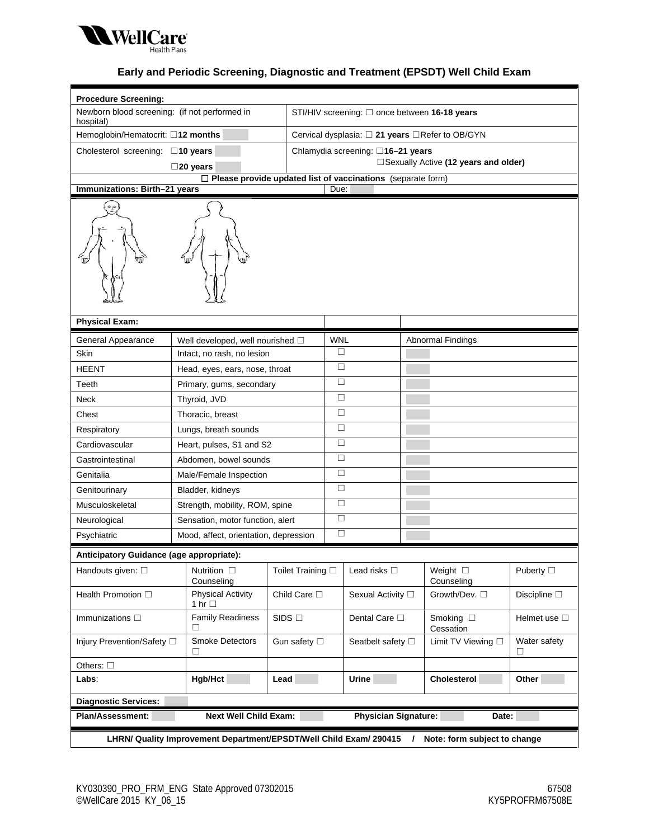

# **Early and Periodic Screening, Diagnostic and Treatment (EPSDT) Well Child Exam**

| <b>Procedure Screening:</b>                                                                             |                                                                       |                                                  |            |                                   |  |                                        |                      |  |  |
|---------------------------------------------------------------------------------------------------------|-----------------------------------------------------------------------|--------------------------------------------------|------------|-----------------------------------|--|----------------------------------------|----------------------|--|--|
| Newborn blood screening: (if not performed in<br>hospital)                                              |                                                                       | STI/HIV screening: □ once between 16-18 years    |            |                                   |  |                                        |                      |  |  |
| Hemoglobin/Hematocrit: 012 months                                                                       |                                                                       | Cervical dysplasia: □ 21 years □ Refer to OB/GYN |            |                                   |  |                                        |                      |  |  |
| Cholesterol screening: □10 years                                                                        |                                                                       |                                                  |            | Chlamydia screening: □16-21 years |  |                                        |                      |  |  |
|                                                                                                         | $\square$ 20 years                                                    |                                                  |            |                                   |  | □ Sexually Active (12 years and older) |                      |  |  |
|                                                                                                         | $\square$ Please provide updated list of vaccinations (separate form) |                                                  |            |                                   |  |                                        |                      |  |  |
| Immunizations: Birth-21 years<br>Due:                                                                   |                                                                       |                                                  |            |                                   |  |                                        |                      |  |  |
| 5                                                                                                       |                                                                       |                                                  |            |                                   |  |                                        |                      |  |  |
| <b>Physical Exam:</b>                                                                                   |                                                                       |                                                  |            |                                   |  |                                        |                      |  |  |
| General Appearance                                                                                      | Well developed, well nourished $\Box$                                 |                                                  | <b>WNL</b> |                                   |  | Abnormal Findings                      |                      |  |  |
| Skin                                                                                                    | Intact, no rash, no lesion                                            |                                                  | □          |                                   |  |                                        |                      |  |  |
| <b>HEENT</b>                                                                                            | Head, eyes, ears, nose, throat                                        |                                                  |            | □                                 |  |                                        |                      |  |  |
| Teeth                                                                                                   | Primary, gums, secondary                                              |                                                  |            | $\Box$                            |  |                                        |                      |  |  |
| Neck                                                                                                    | Thyroid, JVD                                                          |                                                  |            | П                                 |  |                                        |                      |  |  |
| Chest                                                                                                   |                                                                       | $\Box$                                           |            |                                   |  |                                        |                      |  |  |
| Respiratory                                                                                             |                                                                       | П                                                |            |                                   |  |                                        |                      |  |  |
| Cardiovascular                                                                                          | Heart, pulses, S1 and S2                                              |                                                  |            | $\Box$                            |  |                                        |                      |  |  |
| Gastrointestinal                                                                                        | Abdomen, bowel sounds                                                 | $\Box$                                           |            |                                   |  |                                        |                      |  |  |
| Genitalia                                                                                               | Male/Female Inspection                                                | □                                                |            |                                   |  |                                        |                      |  |  |
| Genitourinary                                                                                           | Bladder, kidneys                                                      |                                                  | $\Box$     |                                   |  |                                        |                      |  |  |
| Musculoskeletal                                                                                         | Strength, mobility, ROM, spine                                        |                                                  | $\Box$     |                                   |  |                                        |                      |  |  |
| Neurological                                                                                            | Sensation, motor function, alert                                      |                                                  |            | □                                 |  |                                        |                      |  |  |
| Psychiatric                                                                                             | Mood, affect, orientation, depression                                 |                                                  | $\Box$     |                                   |  |                                        |                      |  |  |
| Anticipatory Guidance (age appropriate):                                                                |                                                                       |                                                  |            |                                   |  |                                        |                      |  |  |
| Handouts given: $\square$                                                                               | Nutrition □<br>Counseling                                             | Toilet Training $\square$                        |            | Lead risks $\Box$                 |  | Weight $\square$<br>Counseling         | Puberty $\square$    |  |  |
| Health Promotion $\square$                                                                              | <b>Physical Activity</b><br>1 hr $\Box$                               | Child Care $\square$                             |            | Sexual Activity $\square$         |  | Growth/Dev. □                          | Discipline $\square$ |  |  |
| Immunizations $\square$                                                                                 | <b>Family Readiness</b><br>□                                          | $SIDS$ $\square$                                 |            | Dental Care $\square$             |  | Smoking $\square$<br>Cessation         | Helmet use $\square$ |  |  |
| Injury Prevention/Safety □                                                                              | <b>Smoke Detectors</b><br>$\Box$                                      | Gun safety $\square$                             |            | Seatbelt safety $\square$         |  | Limit TV Viewing □                     | Water safety<br>□    |  |  |
| Others: $\square$                                                                                       |                                                                       |                                                  |            |                                   |  |                                        |                      |  |  |
| Labs:                                                                                                   | Hgb/Hct                                                               | Lead                                             |            | Urine                             |  | <b>Cholesterol</b>                     | Other                |  |  |
| <b>Diagnostic Services:</b>                                                                             |                                                                       |                                                  |            |                                   |  |                                        |                      |  |  |
| <b>Next Well Child Exam:</b><br><b>Physician Signature:</b><br><b>Plan/Assessment:</b><br>Date:         |                                                                       |                                                  |            |                                   |  |                                        |                      |  |  |
| LHRN/ Quality Improvement Department/EPSDT/Well Child Exam/ 290415<br>Note: form subject to change<br>7 |                                                                       |                                                  |            |                                   |  |                                        |                      |  |  |